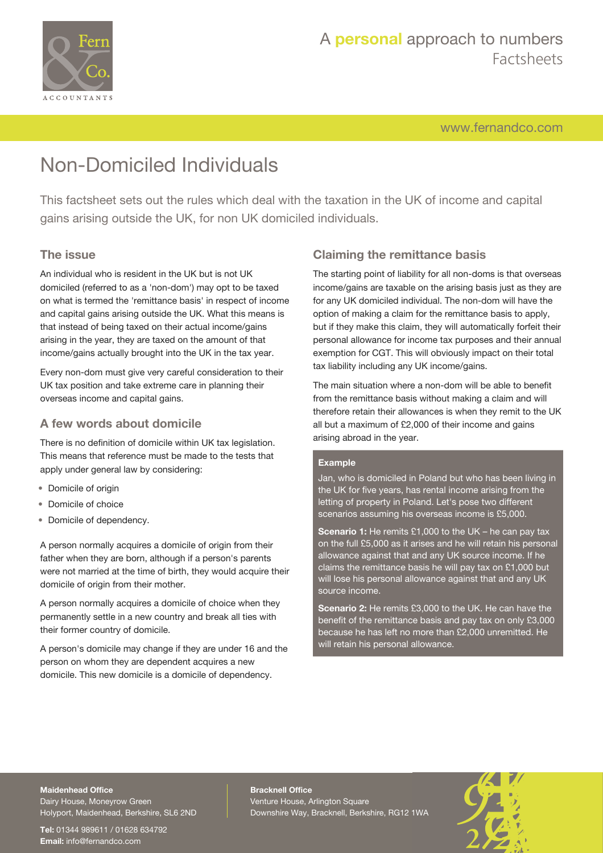

[www.fernandco.com](http://www.fernandco.com)

# Non-Domiciled Individuals

This factsheet sets out the rules which deal with the taxation in the UK of income and capital gains arising outside the UK, for non UK domiciled individuals.

### **The issue**

An individual who is resident in the UK but is not UK domiciled (referred to as a 'non-dom') may opt to be taxed on what is termed the 'remittance basis' in respect of income and capital gains arising outside the UK. What this means is that instead of being taxed on their actual income/gains arising in the year, they are taxed on the amount of that income/gains actually brought into the UK in the tax year.

Every non-dom must give very careful consideration to their UK tax position and take extreme care in planning their overseas income and capital gains.

#### **A few words about domicile**

There is no definition of domicile within UK tax legislation. This means that reference must be made to the tests that apply under general law by considering:

- Domicile of origin
- Domicile of choice
- Domicile of dependency.

A person normally acquires a domicile of origin from their father when they are born, although if a person's parents were not married at the time of birth, they would acquire their domicile of origin from their mother.

A person normally acquires a domicile of choice when they permanently settle in a new country and break all ties with their former country of domicile.

A person's domicile may change if they are under 16 and the person on whom they are dependent acquires a new domicile. This new domicile is a domicile of dependency.

## **Claiming the remittance basis**

The starting point of liability for all non-doms is that overseas income/gains are taxable on the arising basis just as they are for any UK domiciled individual. The non-dom will have the option of making a claim for the remittance basis to apply, but if they make this claim, they will automatically forfeit their personal allowance for income tax purposes and their annual exemption for CGT. This will obviously impact on their total tax liability including any UK income/gains.

The main situation where a non-dom will be able to benefit from the remittance basis without making a claim and will therefore retain their allowances is when they remit to the UK all but a maximum of £2,000 of their income and gains arising abroad in the year.

#### **Example**

Jan, who is domiciled in Poland but who has been living in the UK for five years, has rental income arising from the letting of property in Poland. Let's pose two different scenarios assuming his overseas income is £5,000.

**Scenario 1:** He remits £1,000 to the UK – he can pay tax on the full £5,000 as it arises and he will retain his personal allowance against that and any UK source income. If he claims the remittance basis he will pay tax on £1,000 but will lose his personal allowance against that and any UK source income.

**Scenario 2:** He remits £3,000 to the UK. He can have the benefit of the remittance basis and pay tax on only £3,000 because he has left no more than £2,000 unremitted. He will retain his personal allowance.

## **Maidenhead Office**

Dairy House, Moneyrow Green Holyport, Maidenhead, Berkshire, SL6 2ND

**Tel:** 01344 989611 / 01628 634792 **Email:** [info@fernandco.com](mailto:info@fernandco.com)

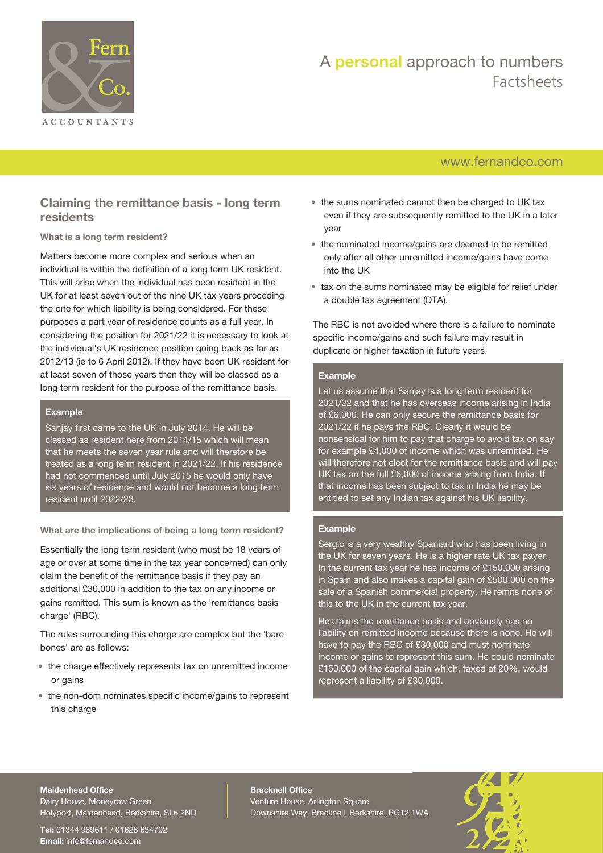

## [www.fernandco.com](http://www.fernandco.com)

## **Claiming the remittance basis - long term residents**

#### **What is a long term resident?**

Matters become more complex and serious when an individual is within the definition of a long term UK resident. This will arise when the individual has been resident in the UK for at least seven out of the nine UK tax years preceding the one for which liability is being considered. For these purposes a part year of residence counts as a full year. In considering the position for 2021/22 it is necessary to look at the individual's UK residence position going back as far as 2012/13 (ie to 6 April 2012). If they have been UK resident for at least seven of those years then they will be classed as a long term resident for the purpose of the remittance basis.

#### **Example**

Sanjay first came to the UK in July 2014. He will be classed as resident here from 2014/15 which will mean that he meets the seven year rule and will therefore be treated as a long term resident in 2021/22. If his residence had not commenced until July 2015 he would only have six years of residence and would not become a long term resident until 2022/23.

**What are the implications of being a long term resident?**

Essentially the long term resident (who must be 18 years of age or over at some time in the tax year concerned) can only claim the benefit of the remittance basis if they pay an additional £30,000 in addition to the tax on any income or gains remitted. This sum is known as the 'remittance basis charge' (RBC).

The rules surrounding this charge are complex but the 'bare bones' are as follows:

- the charge effectively represents tax on unremitted income or gains
- the non-dom nominates specific income/gains to represent this charge
- the sums nominated cannot then be charged to UK tax even if they are subsequently remitted to the UK in a later year
- the nominated income/gains are deemed to be remitted only after all other unremitted income/gains have come into the UK
- tax on the sums nominated may be eligible for relief under a double tax agreement (DTA).

The RBC is not avoided where there is a failure to nominate specific income/gains and such failure may result in duplicate or higher taxation in future years.

#### **Example**

Let us assume that Sanjay is a long term resident for 2021/22 and that he has overseas income arising in India of £6,000. He can only secure the remittance basis for 2021/22 if he pays the RBC. Clearly it would be nonsensical for him to pay that charge to avoid tax on say for example £4,000 of income which was unremitted. He will therefore not elect for the remittance basis and will pay UK tax on the full £6,000 of income arising from India. If that income has been subject to tax in India he may be entitled to set any Indian tax against his UK liability.

#### **Example**

Sergio is a very wealthy Spaniard who has been living in the UK for seven years. He is a higher rate UK tax payer. In the current tax year he has income of £150,000 arising in Spain and also makes a capital gain of £500,000 on the sale of a Spanish commercial property. He remits none of this to the UK in the current tax year.

He claims the remittance basis and obviously has no liability on remitted income because there is none. He will have to pay the RBC of £30,000 and must nominate income or gains to represent this sum. He could nominate £150,000 of the capital gain which, taxed at 20%, would represent a liability of £30,000.

#### **Maidenhead Office**

Dairy House, Moneyrow Green Holyport, Maidenhead, Berkshire, SL6 2ND

**Tel:** 01344 989611 / 01628 634792 **Email:** [info@fernandco.com](mailto:info@fernandco.com)

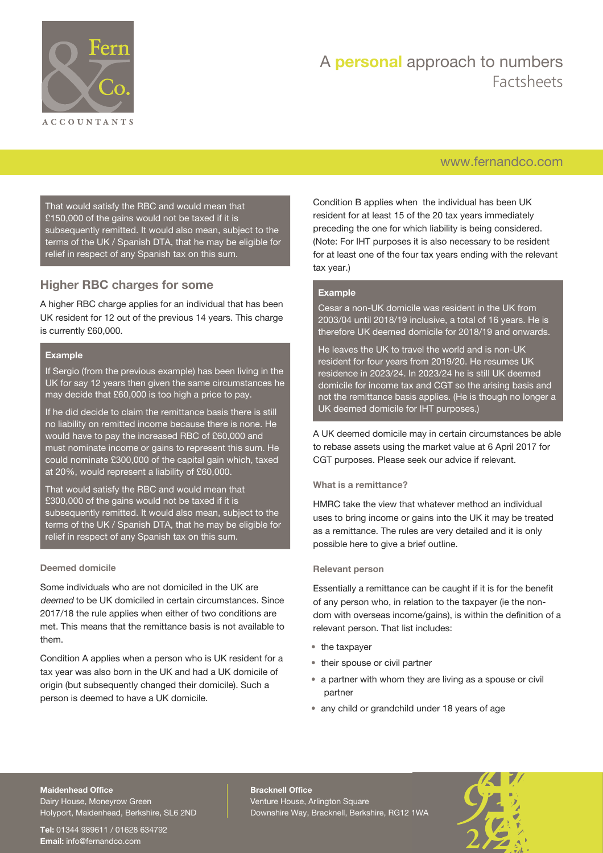

## [www.fernandco.com](http://www.fernandco.com)

That would satisfy the RBC and would mean that £150,000 of the gains would not be taxed if it is subsequently remitted. It would also mean, subject to the terms of the UK / Spanish DTA, that he may be eligible for relief in respect of any Spanish tax on this sum.

## **Higher RBC charges for some**

A higher RBC charge applies for an individual that has been UK resident for 12 out of the previous 14 years. This charge is currently £60,000.

#### **Example**

If Sergio (from the previous example) has been living in the UK for say 12 years then given the same circumstances he may decide that £60,000 is too high a price to pay.

If he did decide to claim the remittance basis there is still no liability on remitted income because there is none. He would have to pay the increased RBC of £60,000 and must nominate income or gains to represent this sum. He could nominate £300,000 of the capital gain which, taxed at 20%, would represent a liability of £60,000.

That would satisfy the RBC and would mean that £300,000 of the gains would not be taxed if it is subsequently remitted. It would also mean, subject to the terms of the UK / Spanish DTA, that he may be eligible for relief in respect of any Spanish tax on this sum.

#### **Deemed domicile**

Some individuals who are not domiciled in the UK are deemed to be UK domiciled in certain circumstances. Since 2017/18 the rule applies when either of two conditions are met. This means that the remittance basis is not available to them.

Condition A applies when a person who is UK resident for a tax year was also born in the UK and had a UK domicile of origin (but subsequently changed their domicile). Such a person is deemed to have a UK domicile.

Condition B applies when the individual has been UK resident for at least 15 of the 20 tax years immediately preceding the one for which liability is being considered. (Note: For IHT purposes it is also necessary to be resident for at least one of the four tax years ending with the relevant tax year.)

#### **Example**

Cesar a non-UK domicile was resident in the UK from 2003/04 until 2018/19 inclusive, a total of 16 years. He is therefore UK deemed domicile for 2018/19 and onwards.

He leaves the UK to travel the world and is non-UK resident for four years from 2019/20. He resumes UK residence in 2023/24. In 2023/24 he is still UK deemed domicile for income tax and CGT so the arising basis and not the remittance basis applies. (He is though no longer a UK deemed domicile for IHT purposes.)

A UK deemed domicile may in certain circumstances be able to rebase assets using the market value at 6 April 2017 for CGT purposes. Please seek our advice if relevant.

#### **What is a remittance?**

HMRC take the view that whatever method an individual uses to bring income or gains into the UK it may be treated as a remittance. The rules are very detailed and it is only possible here to give a brief outline.

#### **Relevant person**

Essentially a remittance can be caught if it is for the benefit of any person who, in relation to the taxpayer (ie the nondom with overseas income/gains), is within the definition of a relevant person. That list includes:

- the taxpayer
- their spouse or civil partner
- a partner with whom they are living as a spouse or civil partner
- any child or grandchild under 18 years of age

#### **Maidenhead Office**

Dairy House, Moneyrow Green Holyport, Maidenhead, Berkshire, SL6 2ND

**Tel:** 01344 989611 / 01628 634792 **Email:** [info@fernandco.com](mailto:info@fernandco.com)

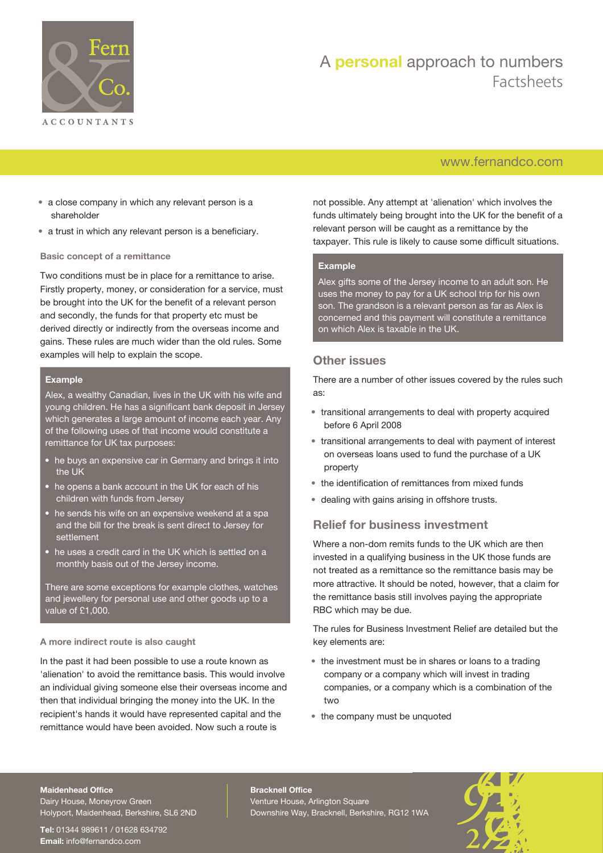

## [www.fernandco.com](http://www.fernandco.com)

- a close company in which any relevant person is a shareholder
- a trust in which any relevant person is a beneficiary.

#### **Basic concept of a remittance**

Two conditions must be in place for a remittance to arise. Firstly property, money, or consideration for a service, must be brought into the UK for the benefit of a relevant person and secondly, the funds for that property etc must be derived directly or indirectly from the overseas income and gains. These rules are much wider than the old rules. Some examples will help to explain the scope.

#### **Example**

Alex, a wealthy Canadian, lives in the UK with his wife and young children. He has a significant bank deposit in Jersey which generates a large amount of income each year. Any of the following uses of that income would constitute a remittance for UK tax purposes:

- he buys an expensive car in Germany and brings it into the UK
- he opens a bank account in the UK for each of his children with funds from Jersey
- he sends his wife on an expensive weekend at a spa and the bill for the break is sent direct to Jersey for settlement
- he uses a credit card in the UK which is settled on a monthly basis out of the Jersey income.

There are some exceptions for example clothes, watches and jewellery for personal use and other goods up to a value of £1,000.

#### **A more indirect route is also caught**

In the past it had been possible to use a route known as 'alienation' to avoid the remittance basis. This would involve an individual giving someone else their overseas income and then that individual bringing the money into the UK. In the recipient's hands it would have represented capital and the remittance would have been avoided. Now such a route is

not possible. Any attempt at 'alienation' which involves the funds ultimately being brought into the UK for the benefit of a relevant person will be caught as a remittance by the taxpayer. This rule is likely to cause some difficult situations.

#### **Example**

Alex gifts some of the Jersey income to an adult son. He uses the money to pay for a UK school trip for his own son. The grandson is a relevant person as far as Alex is concerned and this payment will constitute a remittance on which Alex is taxable in the UK.

### **Other issues**

There are a number of other issues covered by the rules such as:

- transitional arrangements to deal with property acquired before 6 April 2008
- transitional arrangements to deal with payment of interest on overseas loans used to fund the purchase of a UK property
- the identification of remittances from mixed funds
- dealing with gains arising in offshore trusts.

### **Relief for business investment**

Where a non-dom remits funds to the UK which are then invested in a qualifying business in the UK those funds are not treated as a remittance so the remittance basis may be more attractive. It should be noted, however, that a claim for the remittance basis still involves paying the appropriate RBC which may be due.

The rules for Business Investment Relief are detailed but the key elements are:

- the investment must be in shares or loans to a trading company or a company which will invest in trading companies, or a company which is a combination of the two
- the company must be unquoted

#### **Maidenhead Office**

Dairy House, Moneyrow Green Holyport, Maidenhead, Berkshire, SL6 2ND

**Tel:** 01344 989611 / 01628 634792 **Email:** [info@fernandco.com](mailto:info@fernandco.com)